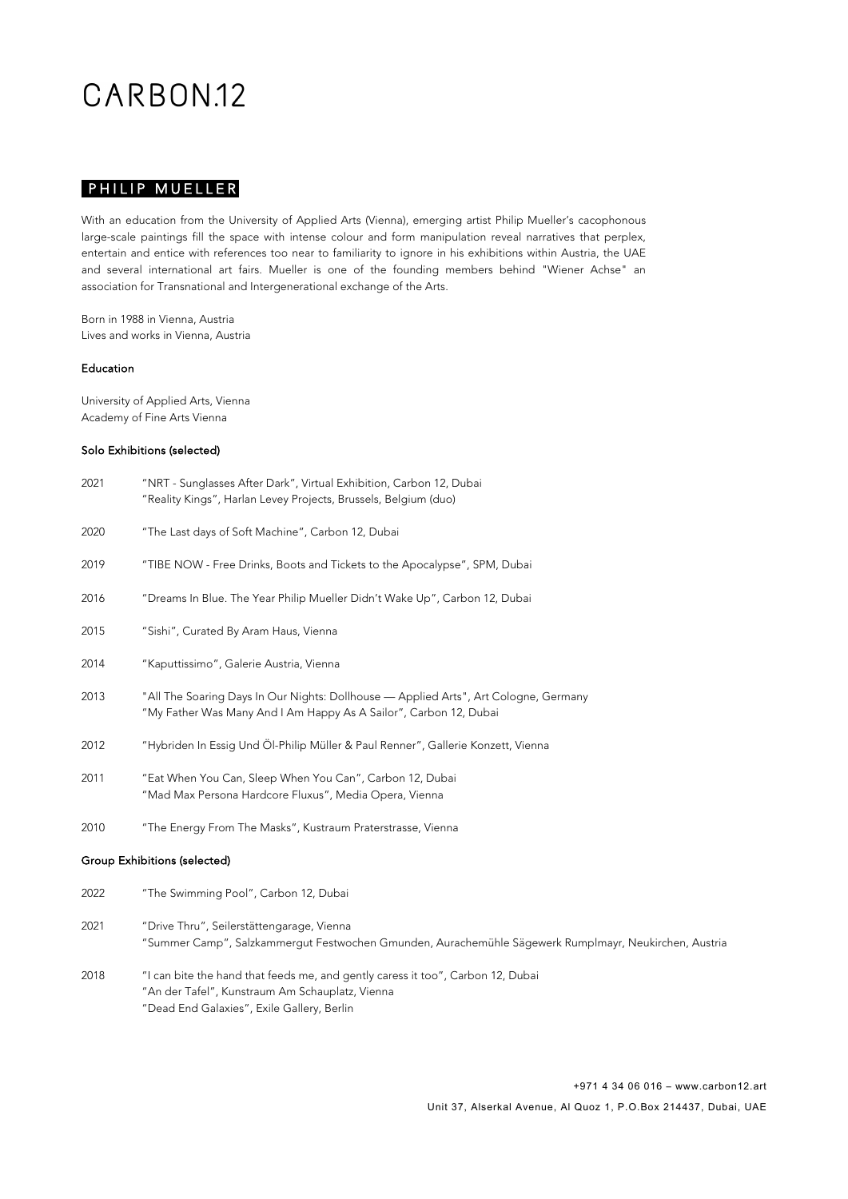## CARBON<sub>12</sub>

### PHILIP MUELLER

With an education from the University of Applied Arts (Vienna), emerging artist Philip Mueller's cacophonous large-scale paintings fill the space with intense colour and form manipulation reveal narratives that perplex, entertain and entice with references too near to familiarity to ignore in his exhibitions within Austria, the UAE and several international art fairs. Mueller is one of the founding members behind "Wiener Achse" an association for Transnational and Intergenerational exchange of the Arts.

Born in 1988 in Vienna, Austria Lives and works in Vienna, Austria

#### Education

University of Applied Arts, Vienna Academy of Fine Arts Vienna

#### Solo Exhibitions (selected)

- 2021 "NRT Sunglasses After Dark", Virtual Exhibition, Carbon 12, Dubai "Reality Kings", Harlan Levey Projects, Brussels, Belgium (duo)
- 2020 "The Last days of Soft Machine", Carbon 12, Dubai
- 2019 "TIBE NOW Free Drinks, Boots and Tickets to the Apocalypse", SPM, Dubai
- 2016 "Dreams In Blue. The Year Philip Mueller Didn't Wake Up", Carbon 12, Dubai
- 2015 "Sishi", Curated By Aram Haus, Vienna
- 2014 "Kaputtissimo", Galerie Austria, Vienna
- 2013 "All The Soaring Days In Our Nights: Dollhouse Applied Arts", Art Cologne, Germany "My Father Was Many And I Am Happy As A Sailor", Carbon 12, Dubai
- 2012 "Hybriden In Essig Und Öl-Philip Müller & Paul Renner", Gallerie Konzett, Vienna
- 2011 "Eat When You Can, Sleep When You Can", Carbon 12, Dubai "Mad Max Persona Hardcore Fluxus", Media Opera, Vienna
- 2010 "The Energy From The Masks", Kustraum Praterstrasse, Vienna

#### Group Exhibitions (selected)

- 2022 "The Swimming Pool", Carbon 12, Dubai
- 2021 "Drive Thru", Seilerstättengarage, Vienna "Summer Camp", Salzkammergut Festwochen Gmunden, Aurachemühle Sägewerk Rumplmayr, Neukirchen, Austria
- 2018 "I can bite the hand that feeds me, and gently caress it too", Carbon 12, Dubai "An der Tafel", Kunstraum Am Schauplatz, Vienna "Dead End Galaxies", Exile Gallery, Berlin